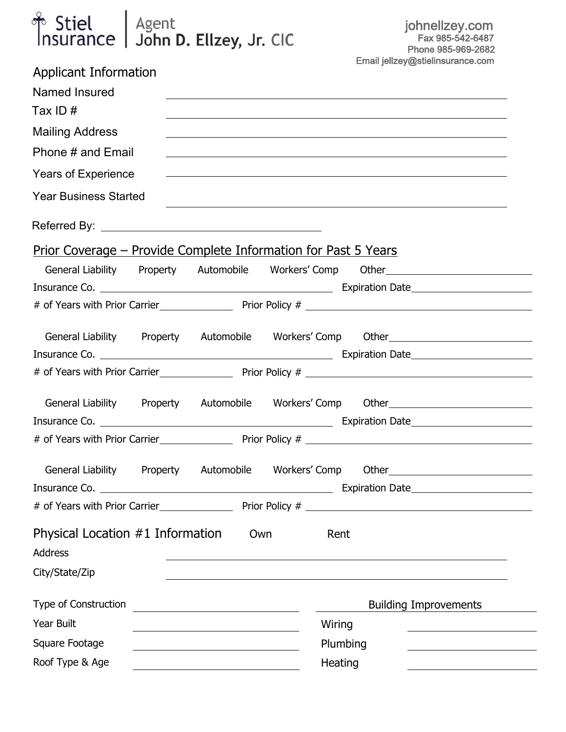# Agent<br>Leben **Duestion Line Gle**nticus de la provincia de la provincia de la provincia de la provincia de la provincia<br>Leben Duestionnaire de la provincia de la provincia de la provincia de la provincia de la provincia de l  $FC$  | JOHN D. EHZEY, JR CIC

| Applicant Information                                                  |                                                         |        |                                                                                                                      |
|------------------------------------------------------------------------|---------------------------------------------------------|--------|----------------------------------------------------------------------------------------------------------------------|
| Named Insured                                                          |                                                         |        | <u> 1989 - Johann Barn, amerikan bernama di sebagai bernama di sebagai bernama di sebagai bernama di sebagai ber</u> |
| Tax ID $#$                                                             |                                                         |        | ,我们也不会有一个人的人,我们也不会有一个人的人,我们也不会有一个人的人。""我们,我们也不会有一个人的人,我们也不会有一个人的人。""我们,我们也不会有一个人                                     |
| <b>Mailing Address</b>                                                 |                                                         |        | ,我们也不会有什么。""我们的人,我们也不会有什么?""我们的人,我们也不会有什么?""我们的人,我们也不会有什么?""我们的人,我们也不会有什么?""我们的人                                     |
| Phone # and Email                                                      |                                                         |        | <u> 1989 - John Stein, amerikansk politiker (* 1989)</u>                                                             |
| <b>Years of Experience</b>                                             |                                                         |        | <u> 1989 - Johann Stoff, amerikansk politiker (d. 1989)</u>                                                          |
| <b>Year Business Started</b>                                           |                                                         |        |                                                                                                                      |
|                                                                        |                                                         |        |                                                                                                                      |
| <u> Prior Coverage – Provide Complete Information for Past 5 Years</u> |                                                         |        |                                                                                                                      |
|                                                                        |                                                         |        | General Liability Property Automobile Workers' Comp Other_______________________                                     |
|                                                                        |                                                         |        |                                                                                                                      |
|                                                                        |                                                         |        |                                                                                                                      |
|                                                                        |                                                         |        | General Liability Property Automobile Workers' Comp Other                                                            |
|                                                                        |                                                         |        |                                                                                                                      |
|                                                                        |                                                         |        |                                                                                                                      |
|                                                                        |                                                         |        | General Liability Property Automobile Workers' Comp Other                                                            |
|                                                                        |                                                         |        |                                                                                                                      |
|                                                                        |                                                         |        |                                                                                                                      |
|                                                                        |                                                         |        | General Liability Property Automobile Workers' Comp Other Chester Computer Conservation Chenger Chenger Chenge       |
|                                                                        |                                                         |        |                                                                                                                      |
|                                                                        |                                                         |        |                                                                                                                      |
| Physical Location $#1$ Information                                     | Own                                                     | Rent   |                                                                                                                      |
| Address                                                                |                                                         |        |                                                                                                                      |
| City/State/Zip                                                         |                                                         |        |                                                                                                                      |
| Type of Construction                                                   | <u> 1980 - Johann Barbara, martin amerikan basar da</u> |        | <b>Building Improvements</b>                                                                                         |
| Year Built                                                             |                                                         | Wiring |                                                                                                                      |
| Square Footage                                                         |                                                         |        | Plumbing                                                                                                             |
| Roof Type & Age                                                        |                                                         |        | Heating                                                                                                              |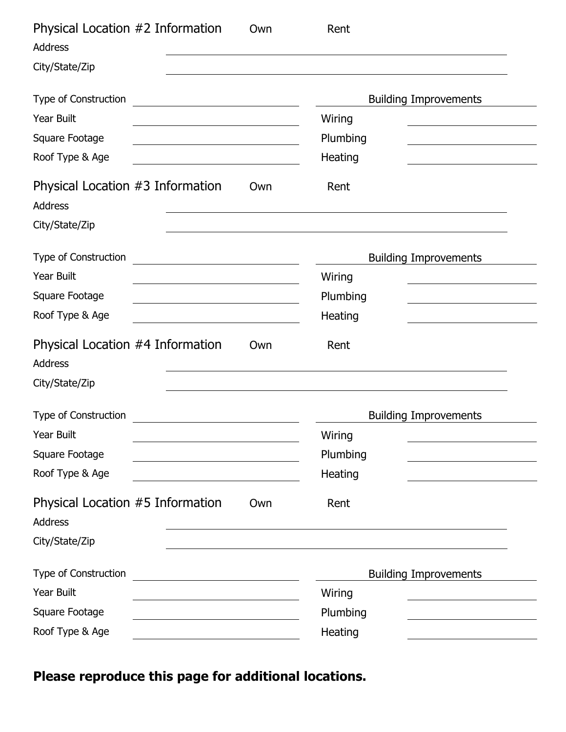| Physical Location #2 Information<br>Own<br><b>Address</b> | Rent                         |
|-----------------------------------------------------------|------------------------------|
| City/State/Zip                                            |                              |
| Type of Construction                                      | <b>Building Improvements</b> |
| <b>Year Built</b>                                         | Wiring                       |
| Square Footage                                            | Plumbing                     |
| Roof Type & Age                                           | Heating                      |
| Physical Location #3 Information<br>Own<br><b>Address</b> | Rent                         |
| City/State/Zip                                            |                              |
| Type of Construction                                      | <b>Building Improvements</b> |
| <b>Year Built</b>                                         | Wiring                       |
| Square Footage                                            | Plumbing                     |
| Roof Type & Age                                           | Heating                      |
| Physical Location #4 Information<br>Own<br>Address        | Rent                         |
| City/State/Zip                                            |                              |
| Type of Construction                                      | <b>Building Improvements</b> |
| Year Built                                                | Wiring                       |
| Square Footage                                            | Plumbing                     |
| Roof Type & Age                                           | Heating                      |
| Physical Location #5 Information<br>Own                   | Rent                         |
| <b>Address</b>                                            |                              |
| City/State/Zip                                            |                              |
| Type of Construction                                      | <b>Building Improvements</b> |
| Year Built                                                | Wiring                       |
| Square Footage                                            | Plumbing                     |
| Roof Type & Age                                           | Heating                      |

*Please reproduce this page for additional locations.*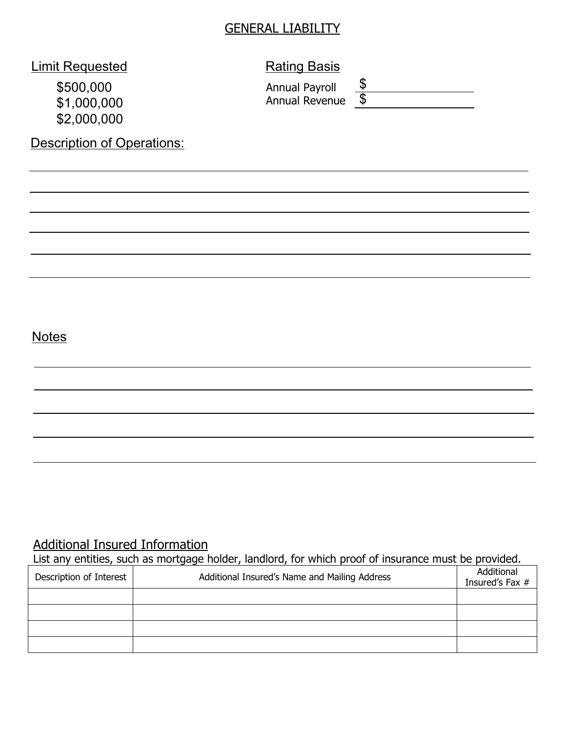#### GENERAL LIABILITY

# **Limit Requested Communist Rating Basis**

General Information – Explain all "Yes" responses in the "Remarks" space provided below.

 $\overline{\phantom{a}}$  , and discontinued operations involved operations involved operations involved operations in

 $$2,000,000$ \$500,000 \$1,000,000

Description of Operations:

 $\mathcal{L}(\mathcal{M})$  is a few charged for parking for parking  $\mathcal{M}(\mathcal{M})$ 

 $\mathcal{M}^{\text{max}}_{\text{max}}$  and  $\mathcal{M}^{\text{max}}_{\text{max}}$  materials.

 $\mathcal{M}(\mathcal{M})$  and accurations sold, actually sold, actually sold, actually sold, or discontinued in last  $5$ 

 $\sim$  Any aircraft, watercraft, watercraft, watercraft, docks, floats of leased. Operators of leased.

 $\overline{\phantom{a}}$  Yes also there are a labor interchange with any other business or subsidiaries?

 $\sim$  18. Have any crimes of been attempted or been attenpted or been attenpted on  $\sim$ 

Annual Payroll Annual Revenue \$  $\overline{\mathcal{S}}$ 

#### demolities and the Notes quantum exposure contemplated?  $\overline{\phantom{a}}$  Yes applicant between active in ordinary active in  $\overline{\phantom{a}}$

### Additional Insured Information

List any entities, such as mortgage holder, landlord, for which proof of insurance must be provided.

 $\gamma$  Yes q No 20. Does the businesses' promotional literature make any representations about the safety or security of  $\gamma$ 

| Description of Interest | Additional Insured's Name and Mailing Address | Additional<br>Insured's Fax # |
|-------------------------|-----------------------------------------------|-------------------------------|
|                         |                                               |                               |
|                         |                                               |                               |
|                         |                                               |                               |
|                         |                                               |                               |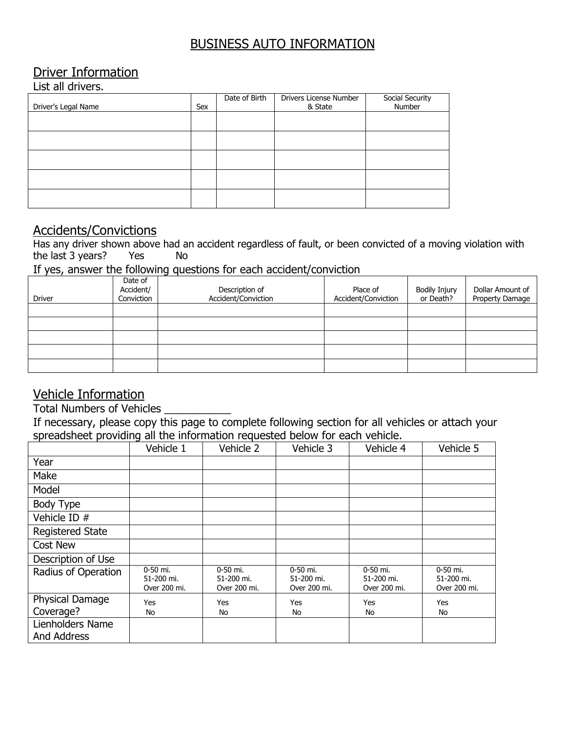### BUSINESS AUTO INFORMATION

### Driver Information

List all drivers.

| Driver's Legal Name | Sex | Date of Birth | Drivers License Number<br>& State | Social Security<br>Number |
|---------------------|-----|---------------|-----------------------------------|---------------------------|
|                     |     |               |                                   |                           |
|                     |     |               |                                   |                           |
|                     |     |               |                                   |                           |
|                     |     |               |                                   |                           |
|                     |     |               |                                   |                           |

#### Accidents/Convictions

Has any driver shown above had an accident regardless of fault, or been convicted of a moving violation with the last  $3 \text{ years}$ ? Yes No

If yes, answer the following questions for each accident/conviction

| Driver | Date of<br>Accident/<br>Conviction | Description of<br>Accident/Conviction | Place of<br>Accident/Conviction | <b>Bodily Injury</b><br>or Death? | Dollar Amount of<br>Property Damage |
|--------|------------------------------------|---------------------------------------|---------------------------------|-----------------------------------|-------------------------------------|
|        |                                    |                                       |                                 |                                   |                                     |
|        |                                    |                                       |                                 |                                   |                                     |
|        |                                    |                                       |                                 |                                   |                                     |
|        |                                    |                                       |                                 |                                   |                                     |
|        |                                    |                                       |                                 |                                   |                                     |

### Vehicle Information

Total Numbers of Vehicles \_\_\_\_\_\_\_\_\_\_\_

If necessary, please copy this page to complete following section for all vehicles or attach your spreadsheet providing all the information requested below for each vehicle.

|                                 | Vehicle 1                              | Vehicle 2                              | Vehicle 3                              | Vehicle 4                              | Vehicle 5                              |
|---------------------------------|----------------------------------------|----------------------------------------|----------------------------------------|----------------------------------------|----------------------------------------|
| Year                            |                                        |                                        |                                        |                                        |                                        |
| Make                            |                                        |                                        |                                        |                                        |                                        |
| Model                           |                                        |                                        |                                        |                                        |                                        |
| Body Type                       |                                        |                                        |                                        |                                        |                                        |
| Vehicle ID #                    |                                        |                                        |                                        |                                        |                                        |
| <b>Registered State</b>         |                                        |                                        |                                        |                                        |                                        |
| <b>Cost New</b>                 |                                        |                                        |                                        |                                        |                                        |
| Description of Use              |                                        |                                        |                                        |                                        |                                        |
| Radius of Operation             | 0-50 mi.<br>51-200 mi.<br>Over 200 mi. | 0-50 mi.<br>51-200 mi.<br>Over 200 mi. | 0-50 mi.<br>51-200 mi.<br>Over 200 mi. | 0-50 mi.<br>51-200 mi.<br>Over 200 mi. | 0-50 mi.<br>51-200 mi.<br>Over 200 mi. |
| Physical Damage<br>Coverage?    | Yes<br>No                              | <b>Yes</b><br>No                       | Yes<br>No                              | Yes<br>No                              | Yes<br>No                              |
| Lienholders Name<br>And Address |                                        |                                        |                                        |                                        |                                        |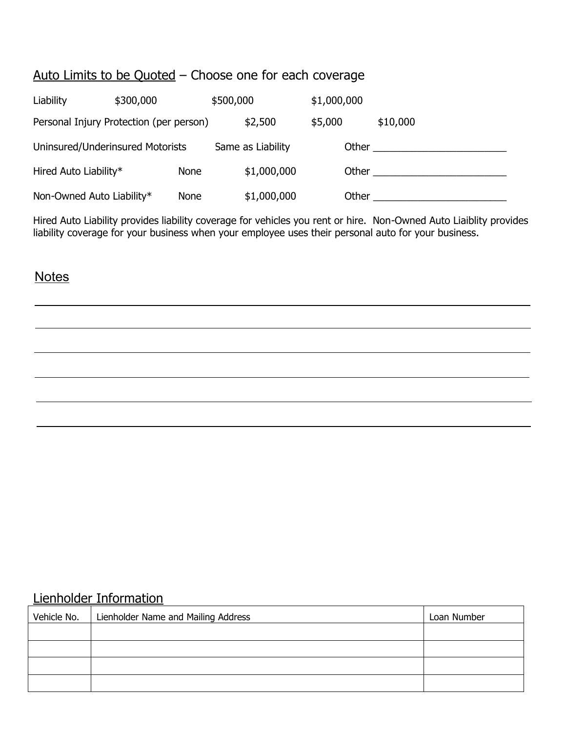#### Auto Limits to be Quoted – Choose one for each coverage

 $\mathcal{L}_{\mathcal{A}}$  and the employees use the employees use the employees use the business?

 $\overline{\phantom{a}}$  Yes  $\overline{\phantom{a}}$  and  $\overline{\phantom{a}}$  and  $\overline{\phantom{a}}$  and  $\overline{\phantom{a}}$  and  $\overline{\phantom{a}}$  and  $\overline{\phantom{a}}$ 

 $\mathcal{L}_{\mathcal{M}}$  Yes application  $\mathcal{M}_{\mathcal{M}}$  applications. The applications  $\mathcal{M}_{\mathcal{M}}$ 

| Liability                        | \$300,000                               | \$500,000 |                   | \$1,000,000 |       |          |
|----------------------------------|-----------------------------------------|-----------|-------------------|-------------|-------|----------|
|                                  | Personal Injury Protection (per person) |           | \$2,500           | \$5,000     |       | \$10,000 |
| Uninsured/Underinsured Motorists |                                         |           | Same as Liability |             | Other |          |
| Hired Auto Liability*            | <b>None</b>                             |           | \$1,000,000       |             | Other |          |
| Non-Owned Auto Liability*        | <b>None</b>                             |           | \$1,000,000       |             | Other |          |

Hired Auto Liability provides liability coverage for vehicles you rent or hire. Non-Owned Auto Liaiblity provides liability coverage for your business when your employee uses their personal auto for your business.

#### Notes – Provide explanation explanation for all  $\mathcal{P}$ **Notes**

#### Lienholder Information

| Vehicle No.   Lienholder Name and Mailing Address | Loan Number |
|---------------------------------------------------|-------------|
|                                                   |             |
|                                                   |             |
|                                                   |             |
|                                                   |             |